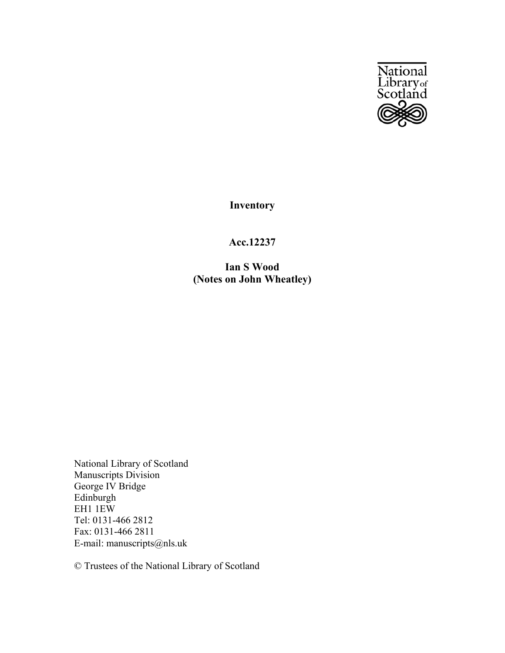

**Inventory**

## **Acc.12237**

**Ian S Wood (Notes on John Wheatley)**

National Library of Scotland Manuscripts Division George IV Bridge Edinburgh EH1 1EW Tel: 0131-466 2812 Fax: 0131-466 2811 E-mail: manuscripts@nls.uk

© Trustees of the National Library of Scotland